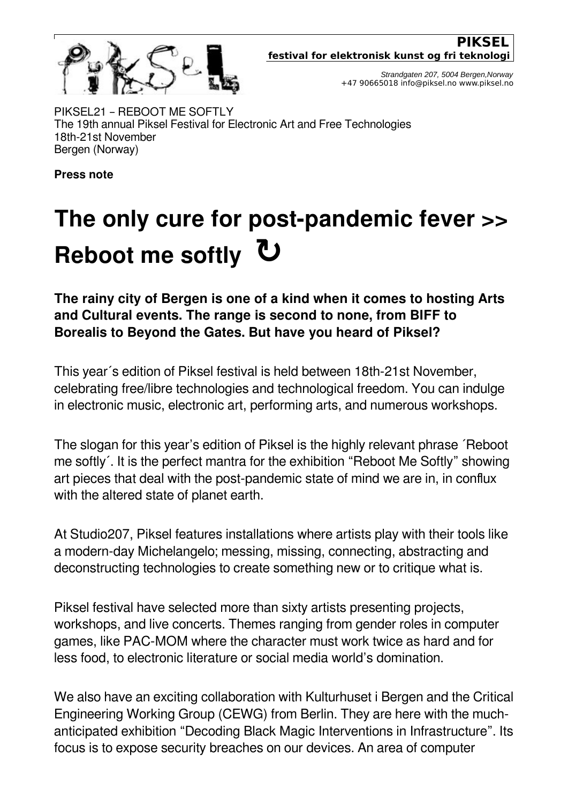

*Strandgaten 207, 5004 Bergen,Norway* +47 90665018 info@piksel.no www.piksel.no

PIKSEL21 – REBOOT ME SOFTLY The 19th annual Piksel Festival for Electronic Art and Free Technologies 18th-21st November Bergen (Norway)

**Press note**

## **The only cure for post-pandemic fever >> Reboot me softly ↻**

**The rainy city of Bergen is one of a kind when it comes to hosting Arts and Cultural events. The range is second to none, from BIFF to Borealis to Beyond the Gates. But have you heard of Piksel?**

This year´s edition of Piksel festival is held between 18th-21st November, celebrating free/libre technologies and technological freedom. You can indulge in electronic music, electronic art, performing arts, and numerous workshops.

The slogan for this year's edition of Piksel is the highly relevant phrase ´Reboot me softly´. It is the perfect mantra for the exhibition "Reboot Me Softly" showing art pieces that deal with the post-pandemic state of mind we are in, in conflux with the altered state of planet earth.

At Studio207, Piksel features installations where artists play with their tools like a modern-day Michelangelo; messing, missing, connecting, abstracting and deconstructing technologies to create something new or to critique what is.

Piksel festival have selected more than sixty artists presenting projects, workshops, and live concerts. Themes ranging from gender roles in computer games, like PAC-MOM where the character must work twice as hard and for less food, to electronic literature or social media world's domination.

We also have an exciting collaboration with Kulturhuset i Bergen and the Critical Engineering Working Group (CEWG) from Berlin. They are here with the muchanticipated exhibition "Decoding Black Magic Interventions in Infrastructure". Its focus is to expose security breaches on our devices. An area of computer